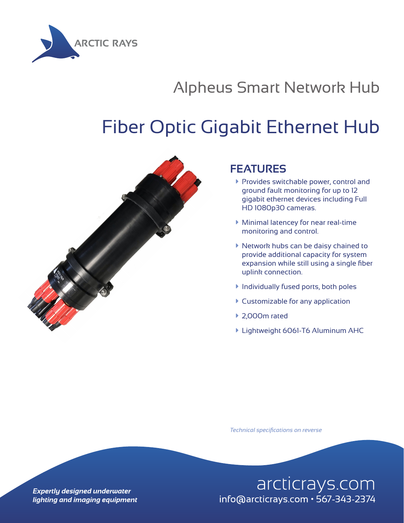

## Alpheus Smart Network Hub

## Fiber Optic Gigabit Ethernet Hub



## **FEATURES**

- **Provides switchable power, control and** ground fault monitoring for up to 12 gigabit ethernet devices including Full HD 1080p30 cameras.
- $\blacktriangleright$  Minimal latencey for near real-time monitoring and control.
- à Network hubs can be daisy chained to provide additional capacity for system expansion while still using a single fiber uplink connection.
- $\blacktriangleright$  Individually fused ports, both poles
- $\blacktriangleright$  Customizable for any application
- $\blacktriangleright$  2,000m rated
- **Eandment 6061-T6 Aluminum AHC**

*Technical specifications on reverse*

arcticrays.com info@arcticrays.com • 567-343-2374

**Expertly designed underwater** lighting and imaging equipment